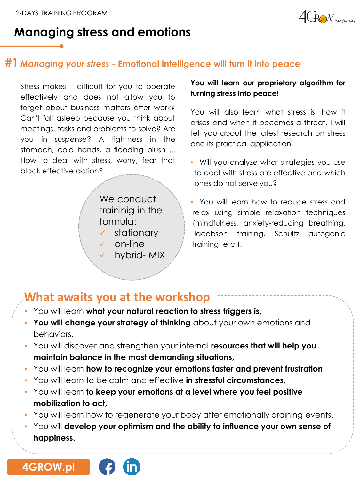

## **Managing stress and emotions**

### **#1** *Managing your stress* **- Emotional intelligence will turn it into peace**

Stress makes it difficult for you to operate effectively and does not allow you to forget about business matters after work? Can't fall asleep because you think about meetings, tasks and problems to solve? Are you in suspense? A tightness in the stomach, cold hands, a flooding blush ... How to deal with stress, worry, fear that block effective action?

> We conduct traininig in the formula: ✓ stationary

- ✓ on-line
	- hybrid- MIX

#### **You will learn our proprietary algorithm for turning stress into peace!**

You will also learn what stress is, how it arises and when it becomes a threat. I will tell you about the latest research on stress and its practical application,

• Will you analyze what strategies you use to deal with stress are effective and which ones do not serve you?

• You will learn how to reduce stress and relax using simple relaxation techniques (mindfulness, anxiety-reducing breathing, Jacobson training, Schultz autogenic training, etc.).

## **What awaits you at the workshop**

- You will learn **what your natural reaction to stress triggers is,**
- **You will change your strategy of thinking** about your own emotions and behaviors,
- You will discover and strengthen your internal **resources that will help you maintain balance in the most demanding situations,**
- You will learn **how to recognize your emotions faster and prevent frustration,**
- You will learn to be calm and effective **in stressful circumstances**,
- You will learn **to keep your emotions at a level where you feel positive mobilization to act,**
- You will learn how to regenerate your body after emotionally draining events,
- You will **develop your optimism and the ability to influence your own sense of happiness.**



**[4GROW.pl](https://4grow.pl/)**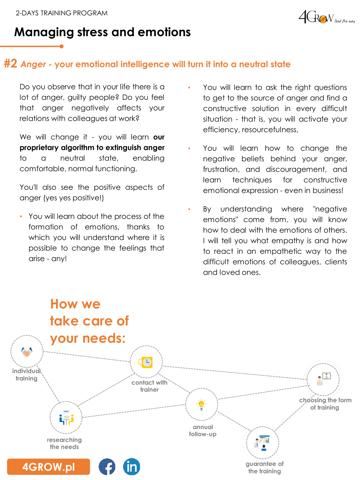

# **Managing stress and emotions**

### **#2** *Anger -* **your emotional intelligence will turn it into a neutral state**

Do you observe that in your life there is a lot of anger, guilty people? Do you feel that anger negatively affects your relations with colleagues at work?

We will change it - you will learn **our proprietary algorithm to extinguish anger** to a neutral state, enabling comfortable, normal functioning.

You'll also see the positive aspects of anger (yes yes positive!)

• You will learn about the process of the formation of emotions, thanks to which you will understand where it is possible to change the feelings that arise - any!

- You will learn to ask the right questions to get to the source of anger and find a constructive solution in every difficult situation - that is, you will activate your efficiency, resourcefulness,
- You will learn how to change the negative beliefs behind your anger, frustration, and discouragement, and learn techniques for constructive emotional expression - even in business!
- By understanding where "negative emotions" come from, you will know how to deal with the emotions of others. I will tell you what empathy is and how to react in an empathetic way to the difficult emotions of colleagues, clients and loved ones.